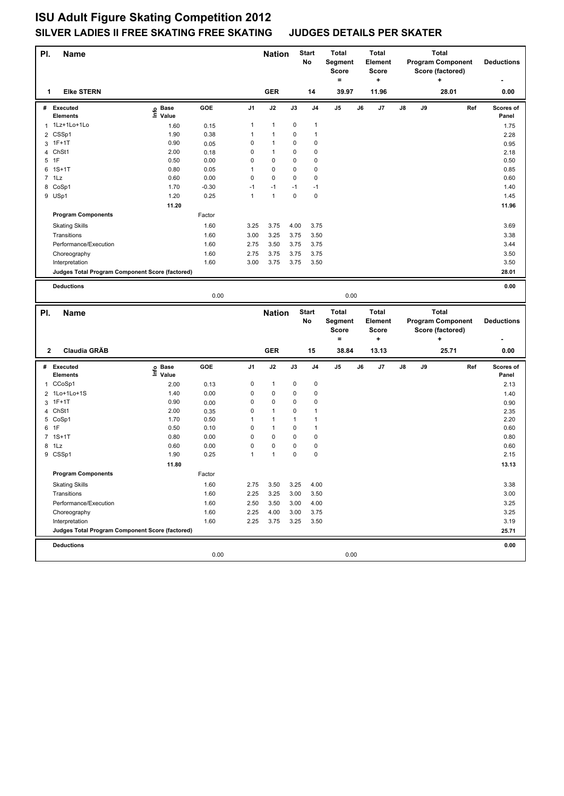| PI.            | Name                                            |                            |         |      | <b>Nation</b> |      | <b>Start</b><br>No | <b>Total</b><br>Segment<br><b>Score</b><br>$=$ |    | <b>Total</b><br>Element<br><b>Score</b><br>$\ddot{}$ |    |    | <b>Total</b><br><b>Program Component</b><br>Score (factored)<br>٠ |     | <b>Deductions</b>  |
|----------------|-------------------------------------------------|----------------------------|---------|------|---------------|------|--------------------|------------------------------------------------|----|------------------------------------------------------|----|----|-------------------------------------------------------------------|-----|--------------------|
| 1              | <b>Elke STERN</b>                               |                            |         |      | <b>GER</b>    |      | 14                 | 39.97                                          |    | 11.96                                                |    |    | 28.01                                                             |     | 0.00               |
| #              | <b>Executed</b><br><b>Elements</b>              | e Base<br>⊑ Value          | GOE     | J1   | J2            | J3   | J4                 | J5                                             | J6 | J7                                                   | J8 | J9 |                                                                   | Ref | Scores of<br>Panel |
|                | 1 1Lz+1Lo+1Lo                                   | 1.60                       | 0.15    | 1    | $\mathbf{1}$  | 0    | 1                  |                                                |    |                                                      |    |    |                                                                   |     | 1.75               |
|                | 2 CSSp1                                         | 1.90                       | 0.38    | 1    | $\mathbf{1}$  | 0    | $\mathbf{1}$       |                                                |    |                                                      |    |    |                                                                   |     | 2.28               |
| 3              | $1F+1T$                                         | 0.90                       | 0.05    | 0    | $\mathbf{1}$  | 0    | $\pmb{0}$          |                                                |    |                                                      |    |    |                                                                   |     | 0.95               |
|                | 4 ChSt1                                         | 2.00                       | 0.18    | 0    | $\mathbf{1}$  | 0    | $\pmb{0}$          |                                                |    |                                                      |    |    |                                                                   |     | 2.18               |
| 5              | 1F                                              | 0.50                       | 0.00    | 0    | $\pmb{0}$     | 0    | $\pmb{0}$          |                                                |    |                                                      |    |    |                                                                   |     | 0.50               |
|                | 6 1S+1T                                         | 0.80                       | 0.05    | 1    | 0             | 0    | $\pmb{0}$          |                                                |    |                                                      |    |    |                                                                   |     | 0.85               |
|                | $7$ 1 Lz                                        | 0.60                       | 0.00    | 0    | 0             | 0    | $\pmb{0}$          |                                                |    |                                                      |    |    |                                                                   |     | 0.60               |
|                | 8 CoSp1                                         | 1.70                       | $-0.30$ | $-1$ | $-1$          | $-1$ | $-1$               |                                                |    |                                                      |    |    |                                                                   |     | 1.40               |
|                | 9 USp1                                          | 1.20                       | 0.25    | 1    | $\mathbf{1}$  | 0    | $\pmb{0}$          |                                                |    |                                                      |    |    |                                                                   |     | 1.45               |
|                |                                                 | 11.20                      |         |      |               |      |                    |                                                |    |                                                      |    |    |                                                                   |     | 11.96              |
|                | <b>Program Components</b>                       |                            | Factor  |      |               |      |                    |                                                |    |                                                      |    |    |                                                                   |     |                    |
|                | <b>Skating Skills</b>                           |                            | 1.60    | 3.25 | 3.75          | 4.00 | 3.75               |                                                |    |                                                      |    |    |                                                                   |     | 3.69               |
|                | Transitions                                     |                            | 1.60    | 3.00 | 3.25          | 3.75 | 3.50               |                                                |    |                                                      |    |    |                                                                   |     | 3.38               |
|                | Performance/Execution                           |                            | 1.60    | 2.75 | 3.50          | 3.75 | 3.75               |                                                |    |                                                      |    |    |                                                                   |     | 3.44               |
|                | Choreography                                    |                            | 1.60    | 2.75 | 3.75          | 3.75 | 3.75               |                                                |    |                                                      |    |    |                                                                   |     | 3.50               |
|                | Interpretation                                  |                            | 1.60    | 3.00 | 3.75          | 3.75 | 3.50               |                                                |    |                                                      |    |    |                                                                   |     | 3.50               |
|                | Judges Total Program Component Score (factored) |                            |         |      |               |      |                    |                                                |    |                                                      |    |    |                                                                   |     | 28.01              |
|                |                                                 |                            |         |      |               |      |                    |                                                |    |                                                      |    |    |                                                                   |     |                    |
|                | <b>Deductions</b>                               |                            |         |      |               |      |                    |                                                |    |                                                      |    |    |                                                                   |     | 0.00               |
|                |                                                 |                            | 0.00    |      |               |      |                    | 0.00                                           |    |                                                      |    |    |                                                                   |     |                    |
| PI.            |                                                 |                            |         |      |               |      | <b>Start</b>       |                                                |    | <b>Total</b>                                         |    |    | <b>Total</b>                                                      |     |                    |
|                |                                                 |                            |         |      |               |      |                    | Total                                          |    |                                                      |    |    |                                                                   |     |                    |
|                | Name                                            |                            |         |      | <b>Nation</b> |      | No                 | Segment                                        |    | Element                                              |    |    | <b>Program Component</b>                                          |     | <b>Deductions</b>  |
|                |                                                 |                            |         |      |               |      |                    | <b>Score</b>                                   |    | <b>Score</b>                                         |    |    | Score (factored)                                                  |     |                    |
|                |                                                 |                            |         |      |               |      |                    | $=$                                            |    | +                                                    |    |    | +                                                                 |     |                    |
| $\mathbf{2}$   | Claudia GRÄB                                    |                            |         |      | <b>GER</b>    |      | 15                 | 38.84                                          |    | 13.13                                                |    |    | 25.71                                                             |     | 0.00               |
|                | # Executed                                      |                            | GOE     | J1   | J2            | J3   | J4                 | J5                                             | J6 | J7                                                   | J8 | J9 |                                                                   | Ref | Scores of          |
|                | Elements                                        | e Base<br>E Value<br>Value |         |      |               |      |                    |                                                |    |                                                      |    |    |                                                                   |     | Panel              |
| 1              | CCoSp1                                          | 2.00                       | 0.13    | 0    | $\mathbf{1}$  | 0    | $\pmb{0}$          |                                                |    |                                                      |    |    |                                                                   |     | 2.13               |
| $\overline{2}$ | 1Lo+1Lo+1S                                      | 1.40                       | 0.00    | 0    | 0             | 0    | 0                  |                                                |    |                                                      |    |    |                                                                   |     | 1.40               |
|                | 3 1F+1T                                         | 0.90                       | 0.00    | 0    | $\pmb{0}$     | 0    | $\pmb{0}$          |                                                |    |                                                      |    |    |                                                                   |     | 0.90               |
| 4              | ChSt1                                           | 2.00                       | 0.35    | 0    | $\mathbf{1}$  | 0    | $\mathbf{1}$       |                                                |    |                                                      |    |    |                                                                   |     | 2.35               |
|                | 5 CoSp1                                         | 1.70                       | 0.50    | 1    | 1             | 1    | $\mathbf{1}$       |                                                |    |                                                      |    |    |                                                                   |     | 2.20               |
| 6              | 1F                                              | 0.50                       | 0.10    | 0    | $\mathbf{1}$  | 0    | $\mathbf{1}$       |                                                |    |                                                      |    |    |                                                                   |     | 0.60               |
|                | 7 1S+1T                                         | 0.80                       | 0.00    | 0    | $\pmb{0}$     | 0    | $\pmb{0}$          |                                                |    |                                                      |    |    |                                                                   |     | 0.80               |
|                | 8 1Lz                                           | 0.60                       | 0.00    | 0    | 0             | 0    | $\pmb{0}$          |                                                |    |                                                      |    |    |                                                                   |     | 0.60               |
|                | 9 CSSp1                                         | 1.90                       | 0.25    | 1    | $\mathbf{1}$  | 0    | $\pmb{0}$          |                                                |    |                                                      |    |    |                                                                   |     | 2.15               |
|                |                                                 | 11.80                      |         |      |               |      |                    |                                                |    |                                                      |    |    |                                                                   |     | 13.13              |
|                | <b>Program Components</b>                       |                            | Factor  |      |               |      |                    |                                                |    |                                                      |    |    |                                                                   |     |                    |
|                | <b>Skating Skills</b>                           |                            | 1.60    | 2.75 | 3.50          | 3.25 | 4.00               |                                                |    |                                                      |    |    |                                                                   |     | 3.38               |
|                | Transitions                                     |                            | 1.60    | 2.25 | 3.25          | 3.00 | 3.50               |                                                |    |                                                      |    |    |                                                                   |     | 3.00               |
|                | Performance/Execution                           |                            | 1.60    | 2.50 | 3.50          | 3.00 | 4.00               |                                                |    |                                                      |    |    |                                                                   |     | 3.25               |
|                | Choreography                                    |                            | 1.60    | 2.25 | 4.00          | 3.00 | 3.75               |                                                |    |                                                      |    |    |                                                                   |     | 3.25               |
|                | Interpretation                                  |                            | 1.60    | 2.25 | 3.75          | 3.25 | 3.50               |                                                |    |                                                      |    |    |                                                                   |     | 3.19               |
|                | Judges Total Program Component Score (factored) |                            |         |      |               |      |                    |                                                |    |                                                      |    |    |                                                                   |     | 25.71              |
|                | <b>Deductions</b>                               |                            |         |      |               |      |                    |                                                |    |                                                      |    |    |                                                                   |     | 0.00               |
|                |                                                 |                            | 0.00    |      |               |      |                    | 0.00                                           |    |                                                      |    |    |                                                                   |     |                    |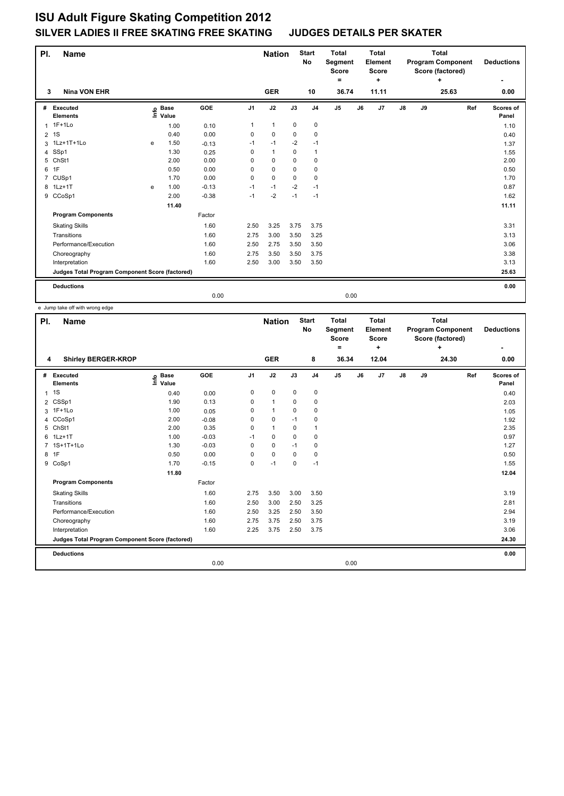| PI.            | Name                                            |    |                      |         |                | <b>Nation</b> |             | <b>Start</b><br>No | <b>Total</b><br>Segment<br><b>Score</b><br>٠ |    | <b>Total</b><br>Element<br><b>Score</b><br>÷ |    |    | <b>Total</b><br><b>Program Component</b><br>Score (factored)<br>٠ |     | <b>Deductions</b>  |
|----------------|-------------------------------------------------|----|----------------------|---------|----------------|---------------|-------------|--------------------|----------------------------------------------|----|----------------------------------------------|----|----|-------------------------------------------------------------------|-----|--------------------|
| 3              | <b>Nina VON EHR</b>                             |    |                      |         |                | <b>GER</b>    |             | 10                 | 36.74                                        |    | 11.11                                        |    |    | 25.63                                                             |     | 0.00               |
| #              | Executed<br><b>Elements</b>                     | ۴e | <b>Base</b><br>Value | GOE     | J <sub>1</sub> | J2            | J3          | J <sub>4</sub>     | J <sub>5</sub>                               | J6 | J7                                           | J8 | J9 |                                                                   | Ref | Scores of<br>Panel |
|                | 1 1F+1Lo                                        |    | 1.00                 | 0.10    | 1              | $\mathbf{1}$  | $\pmb{0}$   | $\pmb{0}$          |                                              |    |                                              |    |    |                                                                   |     | 1.10               |
| $\overline{2}$ | 1S                                              |    | 0.40                 | 0.00    | 0              | $\mathbf 0$   | 0           | 0                  |                                              |    |                                              |    |    |                                                                   |     | 0.40               |
|                | 3 1Lz+1T+1Lo                                    | e  | 1.50                 | $-0.13$ | $-1$           | $-1$          | $-2$        | $-1$               |                                              |    |                                              |    |    |                                                                   |     | 1.37               |
| 4              | SSp1                                            |    | 1.30                 | 0.25    | 0              | $\mathbf{1}$  | 0           | 1                  |                                              |    |                                              |    |    |                                                                   |     | 1.55               |
| 5              | ChSt1                                           |    | 2.00                 | 0.00    | 0              | $\mathbf 0$   | $\Omega$    | 0                  |                                              |    |                                              |    |    |                                                                   |     | 2.00               |
| 6              | 1F                                              |    | 0.50                 | 0.00    | 0              | $\mathbf 0$   | 0           | 0                  |                                              |    |                                              |    |    |                                                                   |     | 0.50               |
| $\overline{7}$ | CUSp1                                           |    | 1.70                 | 0.00    | 0              | $\mathbf 0$   | $\mathbf 0$ | $\mathbf 0$        |                                              |    |                                              |    |    |                                                                   |     | 1.70               |
|                | 8 1Lz+1T                                        | e  | 1.00                 | $-0.13$ | $-1$           | $-1$          | $-2$        | $-1$               |                                              |    |                                              |    |    |                                                                   |     | 0.87               |
|                | 9 CCoSp1                                        |    | 2.00                 | $-0.38$ | $-1$           | $-2$          | $-1$        | $-1$               |                                              |    |                                              |    |    |                                                                   |     | 1.62               |
|                |                                                 |    | 11.40                |         |                |               |             |                    |                                              |    |                                              |    |    |                                                                   |     | 11.11              |
|                | <b>Program Components</b>                       |    |                      | Factor  |                |               |             |                    |                                              |    |                                              |    |    |                                                                   |     |                    |
|                | <b>Skating Skills</b>                           |    |                      | 1.60    | 2.50           | 3.25          | 3.75        | 3.75               |                                              |    |                                              |    |    |                                                                   |     | 3.31               |
|                | Transitions                                     |    |                      | 1.60    | 2.75           | 3.00          | 3.50        | 3.25               |                                              |    |                                              |    |    |                                                                   |     | 3.13               |
|                | Performance/Execution                           |    |                      | 1.60    | 2.50           | 2.75          | 3.50        | 3.50               |                                              |    |                                              |    |    |                                                                   |     | 3.06               |
|                | Choreography                                    |    |                      | 1.60    | 2.75           | 3.50          | 3.50        | 3.75               |                                              |    |                                              |    |    |                                                                   |     | 3.38               |
|                | Interpretation                                  |    |                      | 1.60    | 2.50           | 3.00          | 3.50        | 3.50               |                                              |    |                                              |    |    |                                                                   |     | 3.13               |
|                | Judges Total Program Component Score (factored) |    |                      |         |                |               |             |                    |                                              |    |                                              |    |    |                                                                   |     | 25.63              |
|                | <b>Deductions</b>                               |    |                      |         |                |               |             |                    |                                              |    |                                              |    |    |                                                                   |     | 0.00               |
|                |                                                 |    |                      | 0.00    |                |               |             |                    | 0.00                                         |    |                                              |    |    |                                                                   |     |                    |

e Jump take off with wrong edge

| PI.            | <b>Name</b>                                     |                            |         |                | <b>Nation</b> |             | <b>Start</b><br><b>No</b> | <b>Total</b><br>Segment<br><b>Score</b> |    | <b>Total</b><br>Element<br><b>Score</b> |            |    | <b>Total</b><br><b>Program Component</b><br>Score (factored) |     | <b>Deductions</b>  |
|----------------|-------------------------------------------------|----------------------------|---------|----------------|---------------|-------------|---------------------------|-----------------------------------------|----|-----------------------------------------|------------|----|--------------------------------------------------------------|-----|--------------------|
| 4              | <b>Shirley BERGER-KROP</b>                      |                            |         |                | <b>GER</b>    |             | 8                         | ۰<br>36.34                              |    | ÷<br>12.04                              |            |    | ÷<br>24.30                                                   |     | ٠<br>0.00          |
| #              | Executed<br><b>Elements</b>                     | <b>Base</b><br>١m<br>Value | GOE     | J <sub>1</sub> | J2            | J3          | J <sub>4</sub>            | $\mathsf{J}5$                           | J6 | J7                                      | ${\sf J8}$ | J9 |                                                              | Ref | Scores of<br>Panel |
| 1              | 1S                                              | 0.40                       | 0.00    | 0              | $\mathbf 0$   | $\mathbf 0$ | $\mathbf 0$               |                                         |    |                                         |            |    |                                                              |     | 0.40               |
| 2              | CSSp1                                           | 1.90                       | 0.13    | 0              | $\mathbf{1}$  | 0           | $\pmb{0}$                 |                                         |    |                                         |            |    |                                                              |     | 2.03               |
| 3              | $1F+1Lo$                                        | 1.00                       | 0.05    | 0              | $\mathbf{1}$  | $\Omega$    | $\pmb{0}$                 |                                         |    |                                         |            |    |                                                              |     | 1.05               |
| 4              | CCoSp1                                          | 2.00                       | $-0.08$ | 0              | $\mathbf 0$   | $-1$        | $\mathbf 0$               |                                         |    |                                         |            |    |                                                              |     | 1.92               |
| 5              | ChSt1                                           | 2.00                       | 0.35    | $\Omega$       | $\mathbf{1}$  | $\Omega$    | $\mathbf{1}$              |                                         |    |                                         |            |    |                                                              |     | 2.35               |
| 6              | $1Lz+1T$                                        | 1.00                       | $-0.03$ | $-1$           | $\mathbf 0$   | $\mathbf 0$ | $\pmb{0}$                 |                                         |    |                                         |            |    |                                                              |     | 0.97               |
| $\overline{7}$ | 1S+1T+1Lo                                       | 1.30                       | $-0.03$ | $\Omega$       | $\Omega$      | $-1$        | $\mathbf 0$               |                                         |    |                                         |            |    |                                                              |     | 1.27               |
| 8              | 1F                                              | 0.50                       | 0.00    | 0              | $\mathbf 0$   | $\mathbf 0$ | $\mathbf 0$               |                                         |    |                                         |            |    |                                                              |     | 0.50               |
| 9              | CoSp1                                           | 1.70                       | $-0.15$ | 0              | $-1$          | 0           | $-1$                      |                                         |    |                                         |            |    |                                                              |     | 1.55               |
|                |                                                 | 11.80                      |         |                |               |             |                           |                                         |    |                                         |            |    |                                                              |     | 12.04              |
|                | <b>Program Components</b>                       |                            | Factor  |                |               |             |                           |                                         |    |                                         |            |    |                                                              |     |                    |
|                | <b>Skating Skills</b>                           |                            | 1.60    | 2.75           | 3.50          | 3.00        | 3.50                      |                                         |    |                                         |            |    |                                                              |     | 3.19               |
|                | Transitions                                     |                            | 1.60    | 2.50           | 3.00          | 2.50        | 3.25                      |                                         |    |                                         |            |    |                                                              |     | 2.81               |
|                | Performance/Execution                           |                            | 1.60    | 2.50           | 3.25          | 2.50        | 3.50                      |                                         |    |                                         |            |    |                                                              |     | 2.94               |
|                | Choreography                                    |                            | 1.60    | 2.75           | 3.75          | 2.50        | 3.75                      |                                         |    |                                         |            |    |                                                              |     | 3.19               |
|                | Interpretation                                  |                            | 1.60    | 2.25           | 3.75          | 2.50        | 3.75                      |                                         |    |                                         |            |    |                                                              |     | 3.06               |
|                | Judges Total Program Component Score (factored) |                            |         |                |               |             |                           |                                         |    |                                         |            |    |                                                              |     | 24.30              |
|                | <b>Deductions</b>                               |                            |         |                |               |             |                           |                                         |    |                                         |            |    |                                                              |     | 0.00               |
|                |                                                 |                            | 0.00    |                |               |             |                           | 0.00                                    |    |                                         |            |    |                                                              |     |                    |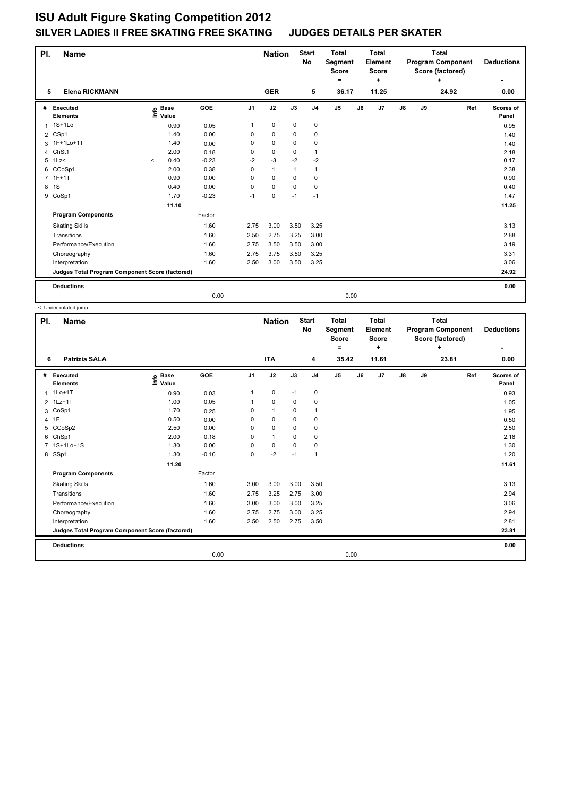| PI.            | Name                                            |         |                      |         |                | <b>Nation</b>  |                | <b>Start</b><br>No | <b>Total</b><br>Segment<br><b>Score</b><br>۰ | <b>Total</b><br>Element<br><b>Score</b><br>٠ |               |    | <b>Total</b><br><b>Program Component</b><br>Score (factored)<br>÷ |     | <b>Deductions</b>  |
|----------------|-------------------------------------------------|---------|----------------------|---------|----------------|----------------|----------------|--------------------|----------------------------------------------|----------------------------------------------|---------------|----|-------------------------------------------------------------------|-----|--------------------|
| 5              | <b>Elena RICKMANN</b>                           |         |                      |         |                | <b>GER</b>     |                | 5                  | 36.17                                        | 11.25                                        |               |    | 24.92                                                             |     | 0.00               |
| #              | <b>Executed</b><br><b>Elements</b>              | ۴ê      | <b>Base</b><br>Value | GOE     | J <sub>1</sub> | J2             | J3             | J <sub>4</sub>     | J <sub>5</sub>                               | J7<br>J6                                     | $\mathsf{J}8$ | J9 |                                                                   | Ref | Scores of<br>Panel |
|                | 1 1S+1Lo                                        |         | 0.90                 | 0.05    | 1              | $\mathbf 0$    | $\pmb{0}$      | $\pmb{0}$          |                                              |                                              |               |    |                                                                   |     | 0.95               |
| $\overline{2}$ | CSp1                                            |         | 1.40                 | 0.00    | 0              | 0              | 0              | 0                  |                                              |                                              |               |    |                                                                   |     | 1.40               |
|                | 3 1F+1Lo+1T                                     |         | 1.40                 | 0.00    | 0              | $\mathbf 0$    | 0              | 0                  |                                              |                                              |               |    |                                                                   |     | 1.40               |
| 4              | ChSt1                                           |         | 2.00                 | 0.18    | 0              | 0              | 0              | $\mathbf{1}$       |                                              |                                              |               |    |                                                                   |     | 2.18               |
| 5              | $1$ Lz<                                         | $\,<\,$ | 0.40                 | $-0.23$ | $-2$           | $-3$           | $-2$           | $-2$               |                                              |                                              |               |    |                                                                   |     | 0.17               |
| 6              | CCoSp1                                          |         | 2.00                 | 0.38    | 0              | $\overline{1}$ | $\overline{1}$ | $\mathbf{1}$       |                                              |                                              |               |    |                                                                   |     | 2.38               |
| $\overline{7}$ | $1F+1T$                                         |         | 0.90                 | 0.00    | 0              | $\mathbf 0$    | $\mathbf 0$    | $\mathbf 0$        |                                              |                                              |               |    |                                                                   |     | 0.90               |
| 8              | 1S                                              |         | 0.40                 | 0.00    | 0              | $\mathbf 0$    | 0              | 0                  |                                              |                                              |               |    |                                                                   |     | 0.40               |
|                | 9 CoSp1                                         |         | 1.70                 | $-0.23$ | $-1$           | $\mathbf 0$    | $-1$           | $-1$               |                                              |                                              |               |    |                                                                   |     | 1.47               |
|                |                                                 |         | 11.10                |         |                |                |                |                    |                                              |                                              |               |    |                                                                   |     | 11.25              |
|                | <b>Program Components</b>                       |         |                      | Factor  |                |                |                |                    |                                              |                                              |               |    |                                                                   |     |                    |
|                | <b>Skating Skills</b>                           |         |                      | 1.60    | 2.75           | 3.00           | 3.50           | 3.25               |                                              |                                              |               |    |                                                                   |     | 3.13               |
|                | Transitions                                     |         |                      | 1.60    | 2.50           | 2.75           | 3.25           | 3.00               |                                              |                                              |               |    |                                                                   |     | 2.88               |
|                | Performance/Execution                           |         |                      | 1.60    | 2.75           | 3.50           | 3.50           | 3.00               |                                              |                                              |               |    |                                                                   |     | 3.19               |
|                | Choreography                                    |         |                      | 1.60    | 2.75           | 3.75           | 3.50           | 3.25               |                                              |                                              |               |    |                                                                   |     | 3.31               |
|                | Interpretation                                  |         |                      | 1.60    | 2.50           | 3.00           | 3.50           | 3.25               |                                              |                                              |               |    |                                                                   |     | 3.06               |
|                | Judges Total Program Component Score (factored) |         |                      |         |                |                |                |                    |                                              |                                              |               |    |                                                                   |     | 24.92              |
|                | <b>Deductions</b>                               |         |                      |         |                |                |                |                    |                                              |                                              |               |    |                                                                   |     | 0.00               |
|                |                                                 |         |                      | 0.00    |                |                |                |                    | 0.00                                         |                                              |               |    |                                                                   |     |                    |

< Under-rotated jump

| PI.            | <b>Name</b>                                     |                                  |         |                | <b>Nation</b> |             | <b>Start</b><br><b>No</b> | <b>Total</b><br>Segment<br><b>Score</b><br>۰ |    | Total<br>Element<br><b>Score</b><br>٠ |               |    | <b>Total</b><br><b>Program Component</b><br>Score (factored)<br>٠ |     | <b>Deductions</b><br>٠ |
|----------------|-------------------------------------------------|----------------------------------|---------|----------------|---------------|-------------|---------------------------|----------------------------------------------|----|---------------------------------------|---------------|----|-------------------------------------------------------------------|-----|------------------------|
| 6              | <b>Patrizia SALA</b>                            |                                  |         |                | <b>ITA</b>    |             | 4                         | 35.42                                        |    | 11.61                                 |               |    | 23.81                                                             |     | 0.00                   |
| #              | Executed<br><b>Elements</b>                     | <b>Base</b><br>e Base<br>E Value | GOE     | J <sub>1</sub> | J2            | J3          | J <sub>4</sub>            | J <sub>5</sub>                               | J6 | J7                                    | $\mathsf{J}8$ | J9 |                                                                   | Ref | Scores of<br>Panel     |
| $\mathbf 1$    | $1Lo+1T$                                        | 0.90                             | 0.03    | $\mathbf{1}$   | $\mathbf 0$   | $-1$        | $\mathbf 0$               |                                              |    |                                       |               |    |                                                                   |     | 0.93                   |
|                | 2 1Lz+1T                                        | 1.00                             | 0.05    | 1              | $\Omega$      | $\Omega$    | $\mathbf 0$               |                                              |    |                                       |               |    |                                                                   |     | 1.05                   |
|                | 3 CoSp1                                         | 1.70                             | 0.25    | $\Omega$       | $\mathbf{1}$  | 0           | 1                         |                                              |    |                                       |               |    |                                                                   |     | 1.95                   |
| $\overline{4}$ | 1F                                              | 0.50                             | 0.00    | 0              | $\mathbf 0$   | $\mathbf 0$ | $\mathbf 0$               |                                              |    |                                       |               |    |                                                                   |     | 0.50                   |
| 5              | CCoSp2                                          | 2.50                             | 0.00    | $\Omega$       | $\Omega$      | $\Omega$    | $\mathbf 0$               |                                              |    |                                       |               |    |                                                                   |     | 2.50                   |
| 6              | ChSp1                                           | 2.00                             | 0.18    | $\Omega$       | $\mathbf{1}$  | $\Omega$    | $\mathbf 0$               |                                              |    |                                       |               |    |                                                                   |     | 2.18                   |
| $\overline{7}$ | 1S+1Lo+1S                                       | 1.30                             | 0.00    | $\Omega$       | $\mathbf 0$   | $\Omega$    | 0                         |                                              |    |                                       |               |    |                                                                   |     | 1.30                   |
|                | 8 SSp1                                          | 1.30                             | $-0.10$ | $\Omega$       | $-2$          | $-1$        | $\mathbf{1}$              |                                              |    |                                       |               |    |                                                                   |     | 1.20                   |
|                |                                                 | 11.20                            |         |                |               |             |                           |                                              |    |                                       |               |    |                                                                   |     | 11.61                  |
|                | <b>Program Components</b>                       |                                  | Factor  |                |               |             |                           |                                              |    |                                       |               |    |                                                                   |     |                        |
|                | <b>Skating Skills</b>                           |                                  | 1.60    | 3.00           | 3.00          | 3.00        | 3.50                      |                                              |    |                                       |               |    |                                                                   |     | 3.13                   |
|                | Transitions                                     |                                  | 1.60    | 2.75           | 3.25          | 2.75        | 3.00                      |                                              |    |                                       |               |    |                                                                   |     | 2.94                   |
|                | Performance/Execution                           |                                  | 1.60    | 3.00           | 3.00          | 3.00        | 3.25                      |                                              |    |                                       |               |    |                                                                   |     | 3.06                   |
|                | Choreography                                    |                                  | 1.60    | 2.75           | 2.75          | 3.00        | 3.25                      |                                              |    |                                       |               |    |                                                                   |     | 2.94                   |
|                | Interpretation                                  |                                  | 1.60    | 2.50           | 2.50          | 2.75        | 3.50                      |                                              |    |                                       |               |    |                                                                   |     | 2.81                   |
|                | Judges Total Program Component Score (factored) |                                  |         |                |               |             |                           |                                              |    |                                       |               |    |                                                                   |     | 23.81                  |
|                | <b>Deductions</b>                               |                                  |         |                |               |             |                           |                                              |    |                                       |               |    |                                                                   |     | 0.00                   |
|                |                                                 |                                  | 0.00    |                |               |             |                           | 0.00                                         |    |                                       |               |    |                                                                   |     |                        |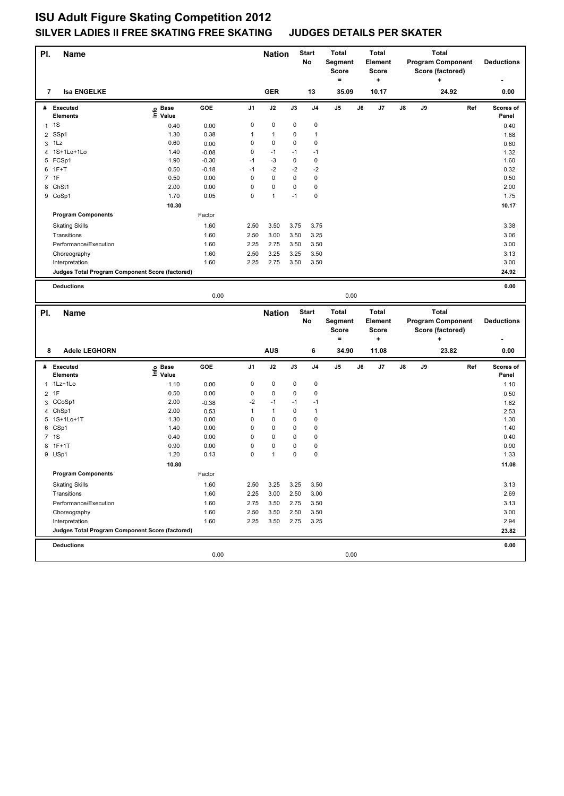| PI.            | Name                                            |                            |         |      | <b>Nation</b> |               | <b>Start</b><br>No | <b>Total</b><br>Segment<br><b>Score</b><br>$=$ |    | <b>Total</b><br>Element<br><b>Score</b><br>$\ddot{}$ |    |    | <b>Total</b><br><b>Program Component</b><br>Score (factored)<br>٠ |     | <b>Deductions</b>  |
|----------------|-------------------------------------------------|----------------------------|---------|------|---------------|---------------|--------------------|------------------------------------------------|----|------------------------------------------------------|----|----|-------------------------------------------------------------------|-----|--------------------|
| 7              | <b>Isa ENGELKE</b>                              |                            |         |      | <b>GER</b>    |               | 13                 | 35.09                                          |    | 10.17                                                |    |    | 24.92                                                             |     | 0.00               |
|                | # Executed<br><b>Elements</b>                   | e Base<br>⊑ Value          | GOE     | J1   | J2            | $\mathsf{J3}$ | J4                 | J5                                             | J6 | J7                                                   | J8 | J9 |                                                                   | Ref | Scores of<br>Panel |
|                | $1 \quad 1S$                                    | 0.40                       | 0.00    | 0    | 0             | 0             | 0                  |                                                |    |                                                      |    |    |                                                                   |     | 0.40               |
|                | 2 SSp1                                          | 1.30                       | 0.38    | 1    | $\mathbf{1}$  | 0             | $\mathbf{1}$       |                                                |    |                                                      |    |    |                                                                   |     | 1.68               |
| 3              | 1Lz                                             | 0.60                       | 0.00    | 0    | $\pmb{0}$     | 0             | $\pmb{0}$          |                                                |    |                                                      |    |    |                                                                   |     | 0.60               |
|                | 4 1S+1Lo+1Lo                                    | 1.40                       | $-0.08$ | 0    | $-1$          | $-1$          | $-1$               |                                                |    |                                                      |    |    |                                                                   |     | 1.32               |
|                | 5 FCSp1                                         | 1.90                       | $-0.30$ | $-1$ | $-3$          | 0             | $\pmb{0}$          |                                                |    |                                                      |    |    |                                                                   |     | 1.60               |
|                | $6$ 1F+T                                        | 0.50                       | $-0.18$ | $-1$ | $-2$          | $-2$          | $-2$               |                                                |    |                                                      |    |    |                                                                   |     | 0.32               |
|                | 7 1F                                            | 0.50                       | 0.00    | 0    | $\pmb{0}$     | 0             | $\pmb{0}$          |                                                |    |                                                      |    |    |                                                                   |     | 0.50               |
|                | 8 ChSt1                                         | 2.00                       | 0.00    | 0    | $\pmb{0}$     | 0             | $\pmb{0}$          |                                                |    |                                                      |    |    |                                                                   |     | 2.00               |
|                | 9 CoSp1                                         | 1.70                       | 0.05    | 0    | $\mathbf{1}$  | $-1$          | $\pmb{0}$          |                                                |    |                                                      |    |    |                                                                   |     | 1.75               |
|                |                                                 | 10.30                      |         |      |               |               |                    |                                                |    |                                                      |    |    |                                                                   |     | 10.17              |
|                | <b>Program Components</b>                       |                            | Factor  |      |               |               |                    |                                                |    |                                                      |    |    |                                                                   |     |                    |
|                | <b>Skating Skills</b>                           |                            | 1.60    | 2.50 | 3.50          | 3.75          | 3.75               |                                                |    |                                                      |    |    |                                                                   |     | 3.38               |
|                | Transitions                                     |                            | 1.60    | 2.50 | 3.00          | 3.50          | 3.25               |                                                |    |                                                      |    |    |                                                                   |     | 3.06               |
|                | Performance/Execution                           |                            | 1.60    | 2.25 | 2.75          | 3.50          | 3.50               |                                                |    |                                                      |    |    |                                                                   |     | 3.00               |
|                | Choreography                                    |                            | 1.60    | 2.50 | 3.25          | 3.25          | 3.50               |                                                |    |                                                      |    |    |                                                                   |     | 3.13               |
|                | Interpretation                                  |                            | 1.60    | 2.25 | 2.75          | 3.50          | 3.50               |                                                |    |                                                      |    |    |                                                                   |     | 3.00               |
|                | Judges Total Program Component Score (factored) |                            |         |      |               |               |                    |                                                |    |                                                      |    |    |                                                                   |     | 24.92              |
|                |                                                 |                            |         |      |               |               |                    |                                                |    |                                                      |    |    |                                                                   |     |                    |
|                | <b>Deductions</b>                               |                            |         |      |               |               |                    |                                                |    |                                                      |    |    |                                                                   |     | 0.00               |
|                |                                                 |                            | 0.00    |      |               |               |                    | 0.00                                           |    |                                                      |    |    |                                                                   |     |                    |
| PI.            |                                                 |                            |         |      |               |               |                    |                                                |    |                                                      |    |    | <b>Total</b>                                                      |     |                    |
|                |                                                 |                            |         |      |               |               | <b>Start</b>       | <b>Total</b>                                   |    | <b>Total</b>                                         |    |    |                                                                   |     |                    |
|                | Name                                            |                            |         |      | <b>Nation</b> |               | No                 | Segment                                        |    | Element                                              |    |    | <b>Program Component</b>                                          |     | <b>Deductions</b>  |
|                |                                                 |                            |         |      |               |               |                    | <b>Score</b>                                   |    | <b>Score</b>                                         |    |    | Score (factored)                                                  |     |                    |
|                |                                                 |                            |         |      |               |               |                    | $=$                                            |    | $\ddot{}$                                            |    |    | +                                                                 |     |                    |
| 8              | <b>Adele LEGHORN</b>                            |                            |         |      | <b>AUS</b>    |               | 6                  | 34.90                                          |    | 11.08                                                |    |    | 23.82                                                             |     | 0.00               |
| #              | <b>Executed</b>                                 |                            | GOE     | J1   | J2            | J3            | J4                 | J5                                             | J6 | J7                                                   | J8 | J9 |                                                                   | Ref | Scores of          |
|                | Elements                                        | e Base<br>E Value<br>Value |         |      |               |               |                    |                                                |    |                                                      |    |    |                                                                   |     | Panel              |
| $\mathbf{1}$   | 1Lz+1Lo                                         | 1.10                       | 0.00    | 0    | 0             | 0             | $\pmb{0}$          |                                                |    |                                                      |    |    |                                                                   |     | 1.10               |
| $\overline{2}$ | 1F                                              | 0.50                       | 0.00    | 0    | 0             | 0             | 0                  |                                                |    |                                                      |    |    |                                                                   |     | 0.50               |
|                | 3 CCoSp1                                        | 2.00                       | $-0.38$ | $-2$ | $-1$          | $-1$          | $-1$               |                                                |    |                                                      |    |    |                                                                   |     | 1.62               |
| 4              | ChSp1                                           | 2.00                       | 0.53    | 1    | $\mathbf{1}$  | 0             | $\mathbf{1}$       |                                                |    |                                                      |    |    |                                                                   |     | 2.53               |
|                | 5 1S+1Lo+1T                                     | 1.30                       | 0.00    | 0    | 0             | 0             | $\pmb{0}$          |                                                |    |                                                      |    |    |                                                                   |     | 1.30               |
|                | 6 CSp1                                          | 1.40                       | 0.00    | 0    | 0             | 0             | $\pmb{0}$          |                                                |    |                                                      |    |    |                                                                   |     | 1.40               |
|                | 7 1S                                            | 0.40                       | 0.00    | 0    | $\pmb{0}$     | 0             | $\pmb{0}$          |                                                |    |                                                      |    |    |                                                                   |     | 0.40               |
|                | 8 1F+1T                                         | 0.90                       | 0.00    | 0    | 0             | 0             | $\pmb{0}$          |                                                |    |                                                      |    |    |                                                                   |     | 0.90               |
|                | 9 USp1                                          | 1.20                       | 0.13    | 0    | $\mathbf{1}$  | 0             | $\pmb{0}$          |                                                |    |                                                      |    |    |                                                                   |     | 1.33               |
|                |                                                 | 10.80                      |         |      |               |               |                    |                                                |    |                                                      |    |    |                                                                   |     | 11.08              |
|                | <b>Program Components</b>                       |                            | Factor  |      |               |               |                    |                                                |    |                                                      |    |    |                                                                   |     |                    |
|                | <b>Skating Skills</b>                           |                            | 1.60    | 2.50 | 3.25          | 3.25          | 3.50               |                                                |    |                                                      |    |    |                                                                   |     | 3.13               |
|                | Transitions                                     |                            | 1.60    | 2.25 | 3.00          | 2.50          | 3.00               |                                                |    |                                                      |    |    |                                                                   |     | 2.69               |
|                | Performance/Execution                           |                            | 1.60    | 2.75 | 3.50          | 2.75          | 3.50               |                                                |    |                                                      |    |    |                                                                   |     | 3.13               |
|                | Choreography                                    |                            | 1.60    | 2.50 | 3.50          | 2.50          | 3.50               |                                                |    |                                                      |    |    |                                                                   |     | 3.00               |
|                | Interpretation                                  |                            | 1.60    | 2.25 | 3.50          | 2.75          | 3.25               |                                                |    |                                                      |    |    |                                                                   |     | 2.94               |
|                | Judges Total Program Component Score (factored) |                            |         |      |               |               |                    |                                                |    |                                                      |    |    |                                                                   |     | 23.82              |
|                | <b>Deductions</b>                               |                            |         |      |               |               |                    |                                                |    |                                                      |    |    |                                                                   |     | 0.00               |
|                |                                                 |                            | 0.00    |      |               |               |                    | 0.00                                           |    |                                                      |    |    |                                                                   |     |                    |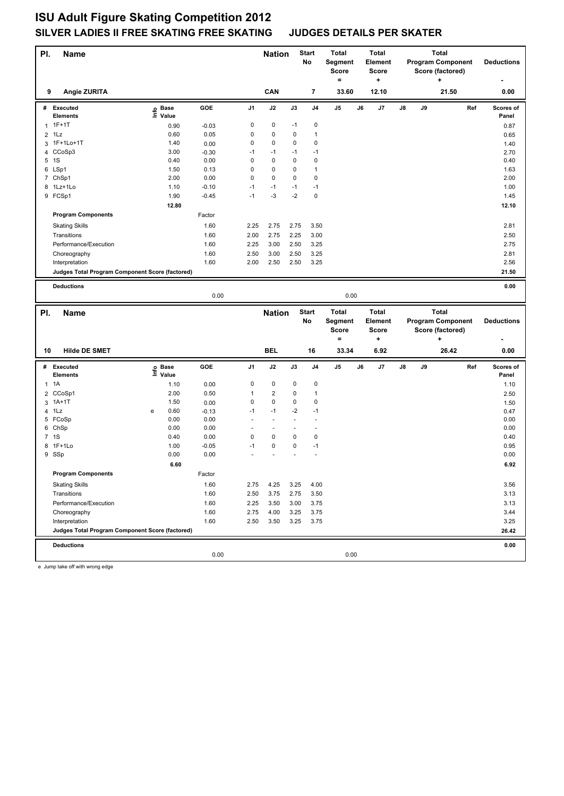| PI. | Name                                            |   |                                  |         |                | <b>Nation</b>           |                      | <b>Start</b><br>No   | <b>Total</b><br>Segment<br>Score<br>$=$ |    | <b>Total</b><br>Element<br><b>Score</b><br>+ |    |    | <b>Total</b><br><b>Program Component</b><br>Score (factored)<br>+ |     | <b>Deductions</b>  |
|-----|-------------------------------------------------|---|----------------------------------|---------|----------------|-------------------------|----------------------|----------------------|-----------------------------------------|----|----------------------------------------------|----|----|-------------------------------------------------------------------|-----|--------------------|
| 9   | Angie ZURITA                                    |   |                                  |         |                | CAN                     |                      | 7                    | 33.60                                   |    | 12.10                                        |    |    | 21.50                                                             |     | 0.00               |
|     | # Executed<br><b>Elements</b>                   |   | <b>Base</b><br>e Base<br>⊑ Value | GOE     | J <sub>1</sub> | J2                      | J3                   | J4                   | J5                                      | J6 | J7                                           | J8 | J9 |                                                                   | Ref | Scores of<br>Panel |
|     | $1.1F+1T$                                       |   | 0.90                             | $-0.03$ | 0              | 0                       | $-1$                 | 0                    |                                         |    |                                              |    |    |                                                                   |     | 0.87               |
|     | $2$ 1Lz                                         |   | 0.60                             | 0.05    | 0              | $\pmb{0}$               | 0                    | $\mathbf{1}$         |                                         |    |                                              |    |    |                                                                   |     |                    |
| 3   | 1F+1Lo+1T                                       |   | 1.40                             | 0.00    | 0              | 0                       | 0                    | $\mathbf 0$          |                                         |    |                                              |    |    |                                                                   |     | 0.65<br>1.40       |
|     | 4 CCoSp3                                        |   | 3.00                             | $-0.30$ | $-1$           | $-1$                    | $-1$                 | $-1$                 |                                         |    |                                              |    |    |                                                                   |     | 2.70               |
|     | 5 1S                                            |   | 0.40                             | 0.00    | 0              | 0                       | 0                    | $\mathbf 0$          |                                         |    |                                              |    |    |                                                                   |     | 0.40               |
|     | 6 LSp1                                          |   | 1.50                             | 0.13    | 0              | 0                       | 0                    | $\mathbf{1}$         |                                         |    |                                              |    |    |                                                                   |     | 1.63               |
|     | 7 ChSp1                                         |   | 2.00                             | 0.00    | 0              | $\mathbf 0$             | 0                    | $\mathbf 0$          |                                         |    |                                              |    |    |                                                                   |     | 2.00               |
|     | 8 1Lz+1Lo                                       |   | 1.10                             | $-0.10$ | $-1$           | $-1$                    | $-1$                 | $-1$                 |                                         |    |                                              |    |    |                                                                   |     | 1.00               |
|     | 9 FCSp1                                         |   | 1.90                             | $-0.45$ | $-1$           | $-3$                    | $-2$                 | $\mathbf 0$          |                                         |    |                                              |    |    |                                                                   |     | 1.45               |
|     |                                                 |   | 12.80                            |         |                |                         |                      |                      |                                         |    |                                              |    |    |                                                                   |     | 12.10              |
|     | <b>Program Components</b>                       |   |                                  | Factor  |                |                         |                      |                      |                                         |    |                                              |    |    |                                                                   |     |                    |
|     | <b>Skating Skills</b>                           |   |                                  | 1.60    | 2.25           | 2.75                    | 2.75                 | 3.50                 |                                         |    |                                              |    |    |                                                                   |     | 2.81               |
|     | Transitions                                     |   |                                  | 1.60    | 2.00           | 2.75                    | 2.25                 | 3.00                 |                                         |    |                                              |    |    |                                                                   |     | 2.50               |
|     | Performance/Execution                           |   |                                  | 1.60    | 2.25           | 3.00                    | 2.50                 | 3.25                 |                                         |    |                                              |    |    |                                                                   |     | 2.75               |
|     | Choreography                                    |   |                                  | 1.60    | 2.50           | 3.00                    | 2.50                 | 3.25                 |                                         |    |                                              |    |    |                                                                   |     | 2.81               |
|     | Interpretation                                  |   |                                  | 1.60    | 2.00           | 2.50                    | 2.50                 | 3.25                 |                                         |    |                                              |    |    |                                                                   |     | 2.56               |
|     | Judges Total Program Component Score (factored) |   |                                  |         |                |                         |                      |                      |                                         |    |                                              |    |    |                                                                   |     | 21.50              |
|     | <b>Deductions</b>                               |   |                                  |         |                |                         |                      |                      |                                         |    |                                              |    |    |                                                                   |     | 0.00               |
|     |                                                 |   |                                  | 0.00    |                |                         |                      |                      | 0.00                                    |    |                                              |    |    |                                                                   |     |                    |
|     |                                                 |   |                                  |         |                |                         |                      |                      |                                         |    |                                              |    |    |                                                                   |     |                    |
|     |                                                 |   |                                  |         |                |                         |                      |                      |                                         |    |                                              |    |    |                                                                   |     |                    |
| PI. | Name                                            |   |                                  |         |                | <b>Nation</b>           |                      | <b>Start</b>         | <b>Total</b>                            |    | <b>Total</b>                                 |    |    | <b>Total</b>                                                      |     |                    |
|     |                                                 |   |                                  |         |                |                         |                      | No                   | Segment                                 |    | Element                                      |    |    | <b>Program Component</b>                                          |     | <b>Deductions</b>  |
|     |                                                 |   |                                  |         |                |                         |                      |                      | <b>Score</b>                            |    | <b>Score</b>                                 |    |    | Score (factored)                                                  |     |                    |
|     |                                                 |   |                                  |         |                |                         |                      |                      | $=$                                     |    | ۰.                                           |    |    | $\ddot{}$                                                         |     |                    |
| 10  | <b>Hilde DE SMET</b>                            |   |                                  |         |                | <b>BEL</b>              |                      | 16                   | 33.34                                   |    | 6.92                                         |    |    | 26.42                                                             |     | 0.00               |
|     | # Executed                                      |   |                                  | GOE     | J1             | J2                      | J3                   | J4                   | J5                                      | J6 | J7                                           | J8 | J9 |                                                                   | Ref | Scores of          |
|     | <b>Elements</b>                                 |   | e Base<br>⊆ Value                |         |                |                         |                      |                      |                                         |    |                                              |    |    |                                                                   |     | Panel              |
|     | $1 \t1A$                                        |   | 1.10                             | 0.00    | 0              | 0                       | 0                    | 0                    |                                         |    |                                              |    |    |                                                                   |     | 1.10               |
| 2   | CCoSp1                                          |   | 2.00                             | 0.50    | $\mathbf{1}$   | $\overline{\mathbf{c}}$ | 0                    | $\mathbf{1}$         |                                         |    |                                              |    |    |                                                                   |     | 2.50               |
|     | 3 1A+1T                                         |   | 1.50                             | 0.00    | 0              | 0                       | 0                    | $\mathbf 0$          |                                         |    |                                              |    |    |                                                                   |     | 1.50               |
| 4   | 1Lz                                             | e | 0.60                             | $-0.13$ | $-1$           | $-1$                    | $-2$                 | $-1$                 |                                         |    |                                              |    |    |                                                                   |     | 0.47               |
|     | 5 FCoSp                                         |   | 0.00                             | 0.00    | $\overline{a}$ | $\overline{a}$          | $\overline{a}$       | $\ddot{\phantom{1}}$ |                                         |    |                                              |    |    |                                                                   |     | 0.00               |
|     | 6 ChSp                                          |   | 0.00                             | 0.00    | $\overline{a}$ | $\overline{a}$          | $\ddot{\phantom{1}}$ | ÷,                   |                                         |    |                                              |    |    |                                                                   |     | 0.00               |
|     | 7 1S                                            |   | 0.40                             | 0.00    | 0              | 0                       | 0                    | $\pmb{0}$            |                                         |    |                                              |    |    |                                                                   |     | 0.40               |
|     | 8 1F+1Lo                                        |   | 1.00                             | $-0.05$ | $-1$           | 0                       | 0                    | $-1$                 |                                         |    |                                              |    |    |                                                                   |     | 0.95               |
|     | 9 SSp                                           |   | 0.00                             | 0.00    |                |                         |                      |                      |                                         |    |                                              |    |    |                                                                   |     | 0.00               |
|     |                                                 |   | 6.60                             |         |                |                         |                      |                      |                                         |    |                                              |    |    |                                                                   |     | 6.92               |
|     | <b>Program Components</b>                       |   |                                  | Factor  |                |                         |                      |                      |                                         |    |                                              |    |    |                                                                   |     |                    |
|     | <b>Skating Skills</b>                           |   |                                  | 1.60    | 2.75           | 4.25                    | 3.25                 | 4.00                 |                                         |    |                                              |    |    |                                                                   |     | 3.56               |
|     | Transitions                                     |   |                                  | 1.60    | 2.50           | 3.75                    | 2.75                 | 3.50                 |                                         |    |                                              |    |    |                                                                   |     | 3.13               |
|     | Performance/Execution                           |   |                                  | 1.60    | 2.25           | 3.50                    | 3.00                 | 3.75                 |                                         |    |                                              |    |    |                                                                   |     | 3.13               |
|     | Choreography                                    |   |                                  | 1.60    | 2.75           | 4.00                    | 3.25                 | 3.75                 |                                         |    |                                              |    |    |                                                                   |     | 3.44               |
|     | Interpretation                                  |   |                                  | 1.60    | 2.50           | 3.50                    | 3.25                 | 3.75                 |                                         |    |                                              |    |    |                                                                   |     | 3.25               |
|     | Judges Total Program Component Score (factored) |   |                                  |         |                |                         |                      |                      |                                         |    |                                              |    |    |                                                                   |     | 26.42              |
|     | <b>Deductions</b>                               |   |                                  | 0.00    |                |                         |                      |                      | 0.00                                    |    |                                              |    |    |                                                                   |     | 0.00               |

e Jump take off with wrong edge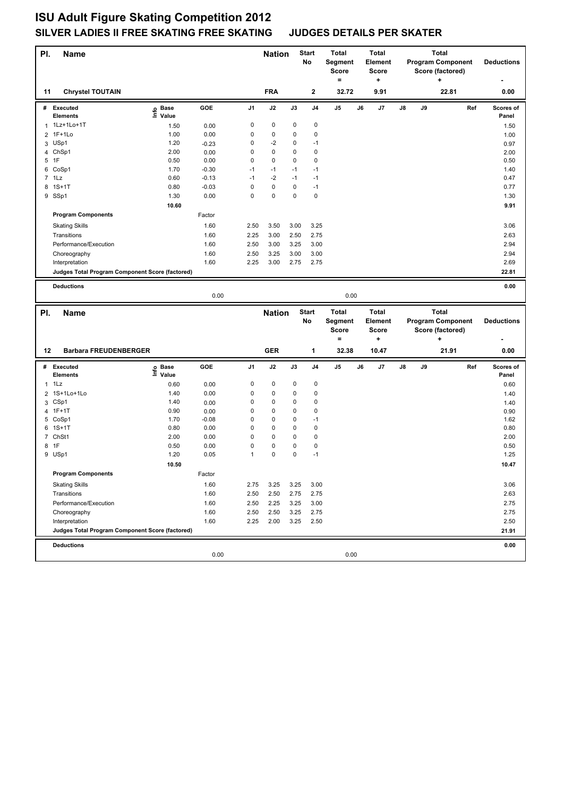| PI. | Name                                            |                       |         |      | <b>Nation</b> |      | <b>Start</b><br>No | <b>Total</b><br>Segment<br>Score<br>= |    | <b>Total</b><br>Element<br><b>Score</b><br>٠ |    |    | <b>Total</b><br><b>Program Component</b><br>Score (factored)<br>٠ |     | <b>Deductions</b>  |
|-----|-------------------------------------------------|-----------------------|---------|------|---------------|------|--------------------|---------------------------------------|----|----------------------------------------------|----|----|-------------------------------------------------------------------|-----|--------------------|
| 11  | <b>Chrystel TOUTAIN</b>                         |                       |         |      | <b>FRA</b>    |      | 2                  | 32.72                                 |    | 9.91                                         |    |    | 22.81                                                             |     | 0.00               |
|     | # Executed<br><b>Elements</b>                   | Base<br>١nfo<br>Value | GOE     | J1   | J2            | J3   | J4                 | J5                                    | J6 | J7                                           | J8 | J9 |                                                                   | Ref | Scores of<br>Panel |
|     | 1 1Lz+1Lo+1T                                    | 1.50                  | 0.00    | 0    | 0             | 0    | 0                  |                                       |    |                                              |    |    |                                                                   |     | 1.50               |
| 2   | $1F+1Lo$                                        | 1.00                  | 0.00    | 0    | $\pmb{0}$     | 0    | $\pmb{0}$          |                                       |    |                                              |    |    |                                                                   |     | 1.00               |
| 3   | USp1                                            | 1.20                  | $-0.23$ | 0    | $-2$          | 0    | -1                 |                                       |    |                                              |    |    |                                                                   |     | 0.97               |
|     | 4 ChSp1                                         | 2.00                  | 0.00    | 0    | 0             | 0    | $\pmb{0}$          |                                       |    |                                              |    |    |                                                                   |     | 2.00               |
| 5   | 1F                                              | 0.50                  | 0.00    | 0    | $\pmb{0}$     | 0    | $\pmb{0}$          |                                       |    |                                              |    |    |                                                                   |     | 0.50               |
|     | 6 CoSp1                                         | 1.70                  | $-0.30$ | $-1$ | $-1$          | $-1$ | $-1$               |                                       |    |                                              |    |    |                                                                   |     | 1.40               |
|     | $7$ 1 Lz                                        | 0.60                  | $-0.13$ | $-1$ | $-2$          | $-1$ | -1                 |                                       |    |                                              |    |    |                                                                   |     | 0.47               |
|     | 8 1S+1T                                         | 0.80                  | $-0.03$ | 0    | $\pmb{0}$     | 0    | $-1$               |                                       |    |                                              |    |    |                                                                   |     | 0.77               |
|     | 9 SSp1                                          | 1.30                  | 0.00    | 0    | $\pmb{0}$     | 0    | $\pmb{0}$          |                                       |    |                                              |    |    |                                                                   |     | 1.30               |
|     |                                                 | 10.60                 |         |      |               |      |                    |                                       |    |                                              |    |    |                                                                   |     | 9.91               |
|     | <b>Program Components</b>                       |                       | Factor  |      |               |      |                    |                                       |    |                                              |    |    |                                                                   |     |                    |
|     | <b>Skating Skills</b>                           |                       | 1.60    | 2.50 | 3.50          | 3.00 | 3.25               |                                       |    |                                              |    |    |                                                                   |     | 3.06               |
|     | Transitions                                     |                       | 1.60    | 2.25 | 3.00          | 2.50 | 2.75               |                                       |    |                                              |    |    |                                                                   |     | 2.63               |
|     | Performance/Execution                           |                       | 1.60    | 2.50 | 3.00          | 3.25 | 3.00               |                                       |    |                                              |    |    |                                                                   |     | 2.94               |
|     | Choreography                                    |                       | 1.60    | 2.50 | 3.25          | 3.00 | 3.00               |                                       |    |                                              |    |    |                                                                   |     | 2.94               |
|     | Interpretation                                  |                       | 1.60    | 2.25 | 3.00          | 2.75 | 2.75               |                                       |    |                                              |    |    |                                                                   |     | 2.69               |
|     | Judges Total Program Component Score (factored) |                       |         |      |               |      |                    |                                       |    |                                              |    |    |                                                                   |     | 22.81              |
|     | <b>Deductions</b>                               |                       |         |      |               |      |                    |                                       |    |                                              |    |    |                                                                   |     | 0.00               |
|     |                                                 |                       | 0.00    |      |               |      |                    | 0.00                                  |    |                                              |    |    |                                                                   |     |                    |
|     |                                                 |                       |         |      |               |      |                    |                                       |    |                                              |    |    |                                                                   |     |                    |
|     |                                                 |                       |         |      |               |      |                    |                                       |    |                                              |    |    |                                                                   |     |                    |
| PI. | <b>Name</b>                                     |                       |         |      | <b>Nation</b> |      | <b>Start</b>       | <b>Total</b>                          |    | <b>Total</b>                                 |    |    | <b>Total</b>                                                      |     |                    |
|     |                                                 |                       |         |      |               |      | No                 | Segment                               |    | Element                                      |    |    | <b>Program Component</b>                                          |     | <b>Deductions</b>  |
|     |                                                 |                       |         |      |               |      |                    | <b>Score</b><br>٠                     |    | <b>Score</b><br>٠                            |    |    | Score (factored)<br>٠                                             |     |                    |
| 12  | <b>Barbara FREUDENBERGER</b>                    |                       |         |      | <b>GER</b>    |      | 1                  | 32.38                                 |    | 10.47                                        |    |    | 21.91                                                             |     | 0.00               |
| #   | <b>Executed</b>                                 | <b>Base</b>           | GOE     | J1   | J2            | J3   | J4                 | J5                                    | J6 | J7                                           | J8 | J9 |                                                                   | Ref | Scores of          |
|     | <b>Elements</b>                                 | ١nfo<br>Value         |         |      |               |      |                    |                                       |    |                                              |    |    |                                                                   |     | Panel              |
| 1   | 1Lz                                             | 0.60                  | 0.00    | 0    | 0             | 0    | 0                  |                                       |    |                                              |    |    |                                                                   |     | 0.60               |
| 2   | 1S+1Lo+1Lo                                      | 1.40                  | 0.00    | 0    | $\pmb{0}$     | 0    | $\pmb{0}$          |                                       |    |                                              |    |    |                                                                   |     | 1.40               |
|     | 3 CSp1                                          | 1.40                  | 0.00    | 0    | 0             | 0    | $\pmb{0}$          |                                       |    |                                              |    |    |                                                                   |     | 1.40               |
| 4   | $1F+1T$                                         | 0.90                  | 0.00    | 0    | 0             | 0    | $\pmb{0}$          |                                       |    |                                              |    |    |                                                                   |     | 0.90               |
|     | 5 CoSp1                                         | 1.70                  | $-0.08$ | 0    | $\pmb{0}$     | 0    | $-1$               |                                       |    |                                              |    |    |                                                                   |     | 1.62               |
| 6   | $1S+1T$                                         | 0.80                  | 0.00    | 0    | 0             | 0    | $\pmb{0}$          |                                       |    |                                              |    |    |                                                                   |     | 0.80               |
|     | 7 ChSt1                                         | 2.00                  | 0.00    | 0    | 0             | 0    | $\pmb{0}$          |                                       |    |                                              |    |    |                                                                   |     | 2.00               |
|     | 8 1F                                            | 0.50                  | 0.00    | 0    | 0             | 0    | $\pmb{0}$          |                                       |    |                                              |    |    |                                                                   |     | 0.50               |
|     | 9 USp1                                          | 1.20                  | 0.05    | 1    | 0             | 0    | -1                 |                                       |    |                                              |    |    |                                                                   |     | 1.25               |
|     |                                                 | 10.50                 |         |      |               |      |                    |                                       |    |                                              |    |    |                                                                   |     | 10.47              |
|     | <b>Program Components</b>                       |                       | Factor  |      |               |      |                    |                                       |    |                                              |    |    |                                                                   |     |                    |
|     | <b>Skating Skills</b>                           |                       | 1.60    | 2.75 | 3.25          | 3.25 | 3.00               |                                       |    |                                              |    |    |                                                                   |     | 3.06               |
|     | Transitions                                     |                       | 1.60    | 2.50 | 2.50          | 2.75 | 2.75               |                                       |    |                                              |    |    |                                                                   |     | 2.63               |
|     | Performance/Execution                           |                       | 1.60    | 2.50 | 2.25          | 3.25 | 3.00               |                                       |    |                                              |    |    |                                                                   |     | 2.75               |
|     | Choreography                                    |                       | 1.60    | 2.50 | 2.50          | 3.25 | 2.75               |                                       |    |                                              |    |    |                                                                   |     | 2.75               |
|     | Interpretation                                  |                       | 1.60    | 2.25 | 2.00          | 3.25 | 2.50               |                                       |    |                                              |    |    |                                                                   |     | 2.50               |
|     | Judges Total Program Component Score (factored) |                       |         |      |               |      |                    |                                       |    |                                              |    |    |                                                                   |     | 21.91              |
|     | <b>Deductions</b>                               |                       | 0.00    |      |               |      |                    | 0.00                                  |    |                                              |    |    |                                                                   |     | 0.00               |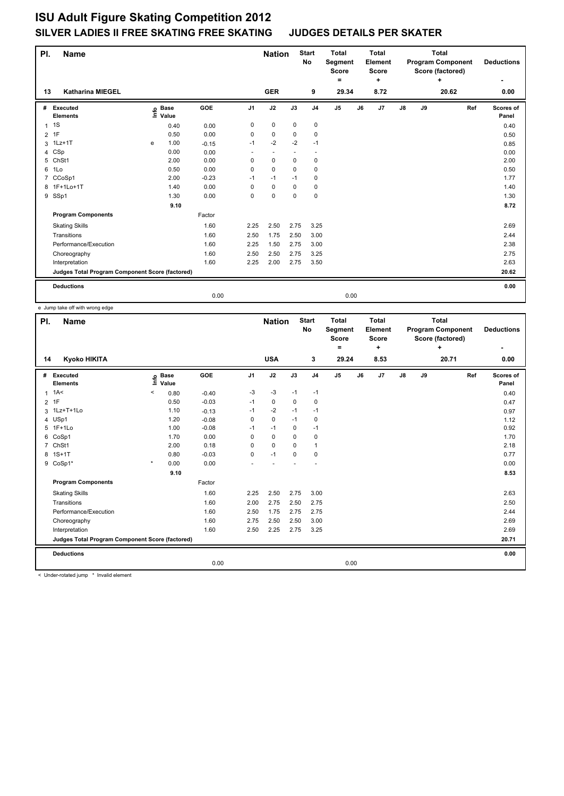| PI.            | Name                                            |      |                      |         |                | <b>Nation</b> |             | <b>Start</b><br>No | <b>Total</b><br>Segment<br><b>Score</b><br>۰ | <b>Total</b> | Element<br><b>Score</b><br>٠ |               |    | <b>Total</b><br><b>Program Component</b><br>Score (factored)<br>÷ |     | <b>Deductions</b>  |
|----------------|-------------------------------------------------|------|----------------------|---------|----------------|---------------|-------------|--------------------|----------------------------------------------|--------------|------------------------------|---------------|----|-------------------------------------------------------------------|-----|--------------------|
| 13             | <b>Katharina MIEGEL</b>                         |      |                      |         |                | <b>GER</b>    |             | 9                  | 29.34                                        |              | 8.72                         |               |    | 20.62                                                             |     | 0.00               |
| #              | Executed<br><b>Elements</b>                     | lnfo | <b>Base</b><br>Value | GOE     | J <sub>1</sub> | J2            | J3          | J <sub>4</sub>     | J <sub>5</sub>                               | J6           | J7                           | $\mathsf{J}8$ | J9 |                                                                   | Ref | Scores of<br>Panel |
| $\mathbf{1}$   | 1S                                              |      | 0.40                 | 0.00    | 0              | $\mathbf 0$   | $\mathbf 0$ | $\pmb{0}$          |                                              |              |                              |               |    |                                                                   |     | 0.40               |
| $\overline{2}$ | 1F                                              |      | 0.50                 | 0.00    | 0              | $\mathbf 0$   | 0           | 0                  |                                              |              |                              |               |    |                                                                   |     | 0.50               |
| 3              | $1Lz+1T$                                        | e    | 1.00                 | $-0.15$ | $-1$           | $-2$          | $-2$        | $-1$               |                                              |              |                              |               |    |                                                                   |     | 0.85               |
| 4              | CSp                                             |      | 0.00                 | 0.00    |                |               |             |                    |                                              |              |                              |               |    |                                                                   |     | 0.00               |
| 5              | ChSt1                                           |      | 2.00                 | 0.00    | 0              | $\mathbf 0$   | 0           | 0                  |                                              |              |                              |               |    |                                                                   |     | 2.00               |
| 6              | 1Lo                                             |      | 0.50                 | 0.00    | 0              | 0             | 0           | 0                  |                                              |              |                              |               |    |                                                                   |     | 0.50               |
| 7              | CCoSp1                                          |      | 2.00                 | $-0.23$ | $-1$           | $-1$          | $-1$        | $\mathbf 0$        |                                              |              |                              |               |    |                                                                   |     | 1.77               |
|                | 8 1F+1Lo+1T                                     |      | 1.40                 | 0.00    | 0              | $\mathbf 0$   | 0           | 0                  |                                              |              |                              |               |    |                                                                   |     | 1.40               |
|                | 9 SSp1                                          |      | 1.30                 | 0.00    | 0              | $\mathbf 0$   | $\mathbf 0$ | $\mathbf 0$        |                                              |              |                              |               |    |                                                                   |     | 1.30               |
|                |                                                 |      | 9.10                 |         |                |               |             |                    |                                              |              |                              |               |    |                                                                   |     | 8.72               |
|                | <b>Program Components</b>                       |      |                      | Factor  |                |               |             |                    |                                              |              |                              |               |    |                                                                   |     |                    |
|                | <b>Skating Skills</b>                           |      |                      | 1.60    | 2.25           | 2.50          | 2.75        | 3.25               |                                              |              |                              |               |    |                                                                   |     | 2.69               |
|                | Transitions                                     |      |                      | 1.60    | 2.50           | 1.75          | 2.50        | 3.00               |                                              |              |                              |               |    |                                                                   |     | 2.44               |
|                | Performance/Execution                           |      |                      | 1.60    | 2.25           | 1.50          | 2.75        | 3.00               |                                              |              |                              |               |    |                                                                   |     | 2.38               |
|                | Choreography                                    |      |                      | 1.60    | 2.50           | 2.50          | 2.75        | 3.25               |                                              |              |                              |               |    |                                                                   |     | 2.75               |
|                | Interpretation                                  |      |                      | 1.60    | 2.25           | 2.00          | 2.75        | 3.50               |                                              |              |                              |               |    |                                                                   |     | 2.63               |
|                | Judges Total Program Component Score (factored) |      |                      |         |                |               |             |                    |                                              |              |                              |               |    |                                                                   |     | 20.62              |
|                | <b>Deductions</b>                               |      |                      |         |                |               |             |                    |                                              |              |                              |               |    |                                                                   |     | 0.00               |
|                |                                                 |      |                      | 0.00    |                |               |             |                    | 0.00                                         |              |                              |               |    |                                                                   |     |                    |

e Jump take off with wrong edge

| PI.            | <b>Name</b>                                     |                                                          |         |                | <b>Nation</b> |          | <b>Start</b><br><b>No</b> | <b>Total</b><br>Segment<br><b>Score</b><br>۰ |    | <b>Total</b><br><b>Element</b><br><b>Score</b><br>٠ |               |    | <b>Total</b><br><b>Program Component</b><br>Score (factored)<br>÷ |     | <b>Deductions</b><br>٠ |
|----------------|-------------------------------------------------|----------------------------------------------------------|---------|----------------|---------------|----------|---------------------------|----------------------------------------------|----|-----------------------------------------------------|---------------|----|-------------------------------------------------------------------|-----|------------------------|
| 14             | Kyoko HIKITA                                    |                                                          |         |                | <b>USA</b>    |          | 3                         | 29.24                                        |    | 8.53                                                |               |    | 20.71                                                             |     | 0.00                   |
| #              | Executed<br><b>Elements</b>                     | <b>Base</b><br>$\mathop{\mathsf{Irr}}\nolimits$<br>Value | GOE     | J <sub>1</sub> | J2            | J3       | J <sub>4</sub>            | J5                                           | J6 | J <sub>7</sub>                                      | $\mathsf{J}8$ | J9 |                                                                   | Ref | Scores of<br>Panel     |
| $\overline{1}$ | 1A<                                             | $\prec$<br>0.80                                          | $-0.40$ | $-3$           | -3            | $-1$     | $-1$                      |                                              |    |                                                     |               |    |                                                                   |     | 0.40                   |
| $\overline{2}$ | 1F                                              | 0.50                                                     | $-0.03$ | $-1$           | $\mathbf 0$   | $\Omega$ | 0                         |                                              |    |                                                     |               |    |                                                                   |     | 0.47                   |
| 3              | 1Lz+T+1Lo                                       | 1.10                                                     | $-0.13$ | $-1$           | $-2$          | $-1$     | $-1$                      |                                              |    |                                                     |               |    |                                                                   |     | 0.97                   |
|                | 4 USp1                                          | 1.20                                                     | $-0.08$ | 0              | $\mathbf 0$   | $-1$     | 0                         |                                              |    |                                                     |               |    |                                                                   |     | 1.12                   |
| 5              | 1F+1Lo                                          | 1.00                                                     | $-0.08$ | $-1$           | $-1$          | 0        | $-1$                      |                                              |    |                                                     |               |    |                                                                   |     | 0.92                   |
| 6              | CoSp1                                           | 1.70                                                     | 0.00    | $\Omega$       | $\Omega$      | $\Omega$ | $\pmb{0}$                 |                                              |    |                                                     |               |    |                                                                   |     | 1.70                   |
| $\overline{7}$ | ChSt1                                           | 2.00                                                     | 0.18    | 0              | $\mathbf 0$   | $\Omega$ | 1                         |                                              |    |                                                     |               |    |                                                                   |     | 2.18                   |
| 8              | $1S+1T$                                         | 0.80                                                     | $-0.03$ | $\Omega$       | $-1$          | $\Omega$ | $\mathbf 0$               |                                              |    |                                                     |               |    |                                                                   |     | 0.77                   |
|                | 9 CoSp1*                                        | $\star$<br>0.00                                          | 0.00    |                |               |          |                           |                                              |    |                                                     |               |    |                                                                   |     | 0.00                   |
|                |                                                 | 9.10                                                     |         |                |               |          |                           |                                              |    |                                                     |               |    |                                                                   |     | 8.53                   |
|                | <b>Program Components</b>                       |                                                          | Factor  |                |               |          |                           |                                              |    |                                                     |               |    |                                                                   |     |                        |
|                | <b>Skating Skills</b>                           |                                                          | 1.60    | 2.25           | 2.50          | 2.75     | 3.00                      |                                              |    |                                                     |               |    |                                                                   |     | 2.63                   |
|                | Transitions                                     |                                                          | 1.60    | 2.00           | 2.75          | 2.50     | 2.75                      |                                              |    |                                                     |               |    |                                                                   |     | 2.50                   |
|                | Performance/Execution                           |                                                          | 1.60    | 2.50           | 1.75          | 2.75     | 2.75                      |                                              |    |                                                     |               |    |                                                                   |     | 2.44                   |
|                | Choreography                                    |                                                          | 1.60    | 2.75           | 2.50          | 2.50     | 3.00                      |                                              |    |                                                     |               |    |                                                                   |     | 2.69                   |
|                | Interpretation                                  |                                                          | 1.60    | 2.50           | 2.25          | 2.75     | 3.25                      |                                              |    |                                                     |               |    |                                                                   |     | 2.69                   |
|                | Judges Total Program Component Score (factored) |                                                          |         |                |               |          |                           |                                              |    |                                                     |               |    |                                                                   |     | 20.71                  |
|                | <b>Deductions</b>                               |                                                          |         |                |               |          |                           |                                              |    |                                                     |               |    |                                                                   |     | 0.00                   |
|                |                                                 |                                                          | 0.00    |                |               |          |                           | 0.00                                         |    |                                                     |               |    |                                                                   |     |                        |
|                |                                                 |                                                          |         |                |               |          |                           |                                              |    |                                                     |               |    |                                                                   |     |                        |

< Under-rotated jump \* Invalid element